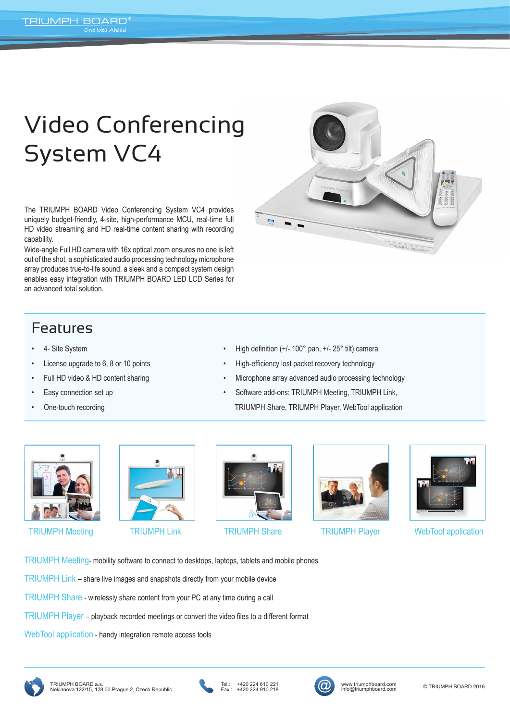## Video Conferencing System VC4

The TRIUMPH BOARD Video Conferencing System VC4 provides uniquely budget-friendly, 4-site, high-performance MCU, real-time full HD video streaming and HD real-time content sharing with recording capability.

Wide-angle Full HD camera with 16x optical zoom ensures no one is left out of the shot, a sophisticated audio processing technology microphone array produces true-to-life sound, a sleek and a compact system design enables easy integration with TRIUMPH BOARD LED LCD Series for an advanced total solution.

## Features

- 4- Site System
- License upgrade to 6, 8 or 10 points
- Full HD video & HD content sharing
- Easy connection set up
- One-touch recording



- High definition (+/- 100° pan, +/- 25° tilt) camera
- High-efficiency lost packet recovery technology
- Microphone array advanced audio processing technology
- Software add-ons: TRIUMPH Meeting, TRIUMPH Link, TRIUMPH Share, TRIUMPH Player, WebTool application











TRIUMPH Meeting TRIUMPH Link TRIUMPH Share TRIUMPH Player WebTool application

TRIUMPH Meeting- mobility software to connect to desktops, laptops, tablets and mobile phones

TRIUMPH Link – share live images and snapshots directly from your mobile device

TRIUMPH Share - wirelessly share content from your PC at any time during a call

TRIUMPH Player – playback recorded meetings or convert the video files to a different format

WebTool application - handy integration remote access tools